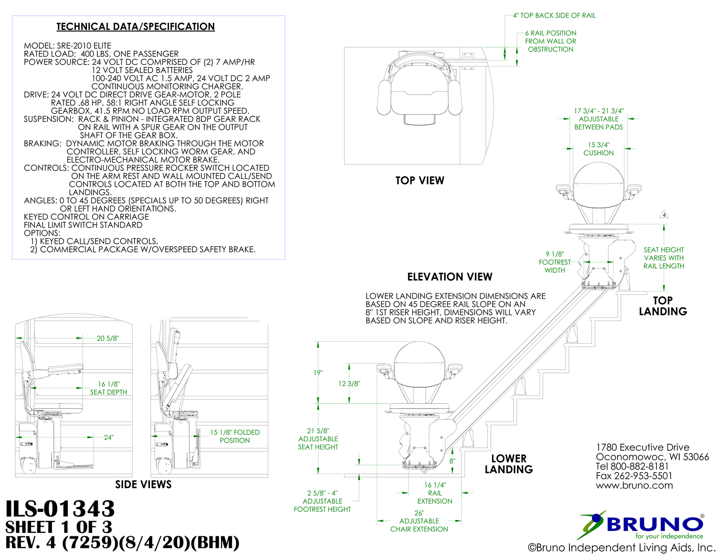







### **SIDE VIEWS**

# **ILS-01343 SHEET 1 OF 3**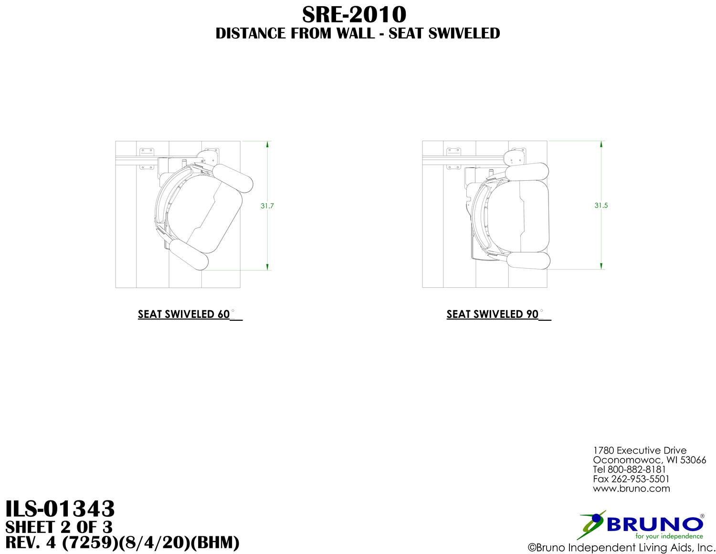

## **SEAT SWIVELED 60**



### **SEAT SWIVELED 90**

## **DISTANCE FROM WALL - SEAT SWIVELED SRE-2010**





1780 Executive Drive Oconomowoc, WI 53066 Tel 800-882-8181 Fax 262-953-5501 www.bruno.com

# **ILS-01343 SHEET 2 OF 3**